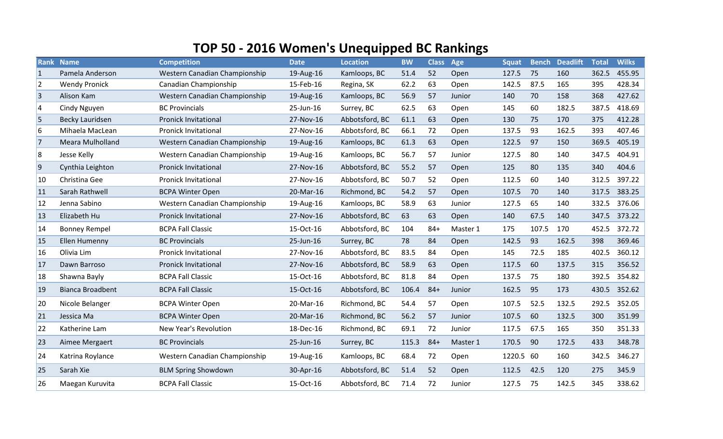## **TOP 50 - 2016 Women's Unequipped BC Rankings**

|                | <b>Rank Name</b>        | <b>Competition</b>            | <b>Date</b> | <b>Location</b> | <b>BW</b> | <b>Class</b> Age |          | <b>Squat</b> |       | <b>Bench Deadlift</b> | <b>Total</b> | <b>Wilks</b> |
|----------------|-------------------------|-------------------------------|-------------|-----------------|-----------|------------------|----------|--------------|-------|-----------------------|--------------|--------------|
| $\vert$ 1      | Pamela Anderson         | Western Canadian Championship | 19-Aug-16   | Kamloops, BC    | 51.4      | 52               | Open     | 127.5        | 75    | 160                   | 362.5        | 455.95       |
| $\overline{2}$ | <b>Wendy Pronick</b>    | Canadian Championship         | 15-Feb-16   | Regina, SK      | 62.2      | 63               | Open     | 142.5        | 87.5  | 165                   | 395          | 428.34       |
| 3              | Alison Kam              | Western Canadian Championship | 19-Aug-16   | Kamloops, BC    | 56.9      | 57               | Junior   | 140          | 70    | 158                   | 368          | 427.62       |
| $\vert 4$      | Cindy Nguyen            | <b>BC Provincials</b>         | 25-Jun-16   | Surrey, BC      | 62.5      | 63               | Open     | 145          | 60    | 182.5                 | 387.5        | 418.69       |
| 5              | <b>Becky Lauridsen</b>  | <b>Pronick Invitational</b>   | 27-Nov-16   | Abbotsford, BC  | 61.1      | 63               | Open     | 130          | 75    | 170                   | 375          | 412.28       |
| 6              | Mihaela MacLean         | <b>Pronick Invitational</b>   | 27-Nov-16   | Abbotsford, BC  | 66.1      | 72               | Open     | 137.5        | 93    | 162.5                 | 393          | 407.46       |
| 17             | <b>Meara Mulholland</b> | Western Canadian Championship | 19-Aug-16   | Kamloops, BC    | 61.3      | 63               | Open     | 122.5        | 97    | 150                   | 369.5        | 405.19       |
| 8              | Jesse Kelly             | Western Canadian Championship | 19-Aug-16   | Kamloops, BC    | 56.7      | 57               | Junior   | 127.5        | 80    | 140                   | 347.5        | 404.91       |
| $\overline{9}$ | Cynthia Leighton        | <b>Pronick Invitational</b>   | 27-Nov-16   | Abbotsford, BC  | 55.2      | 57               | Open     | 125          | 80    | 135                   | 340          | 404.6        |
| 10             | Christina Gee           | <b>Pronick Invitational</b>   | 27-Nov-16   | Abbotsford, BC  | 50.7      | 52               | Open     | 112.5        | 60    | 140                   | 312.5        | 397.22       |
| <b>11</b>      | Sarah Rathwell          | <b>BCPA Winter Open</b>       | 20-Mar-16   | Richmond, BC    | 54.2      | 57               | Open     | 107.5        | 70    | 140                   | 317.5        | 383.25       |
| <b>12</b>      | Jenna Sabino            | Western Canadian Championship | 19-Aug-16   | Kamloops, BC    | 58.9      | 63               | Junior   | 127.5        | 65    | 140                   | 332.5        | 376.06       |
| <b>13</b>      | Elizabeth Hu            | Pronick Invitational          | 27-Nov-16   | Abbotsford, BC  | 63        | 63               | Open     | 140          | 67.5  | 140                   | 347.5        | 373.22       |
| 14             | <b>Bonney Rempel</b>    | <b>BCPA Fall Classic</b>      | 15-Oct-16   | Abbotsford, BC  | 104       | $84 +$           | Master 1 | 175          | 107.5 | 170                   | 452.5        | 372.72       |
| <b>15</b>      | Ellen Humenny           | <b>BC Provincials</b>         | 25-Jun-16   | Surrey, BC      | 78        | 84               | Open     | 142.5        | 93    | 162.5                 | 398          | 369.46       |
| 16             | Olivia Lim              | <b>Pronick Invitational</b>   | 27-Nov-16   | Abbotsford, BC  | 83.5      | 84               | Open     | 145          | 72.5  | 185                   | 402.5        | 360.12       |
| <b>17</b>      | Dawn Barroso            | <b>Pronick Invitational</b>   | 27-Nov-16   | Abbotsford, BC  | 58.9      | 63               | Open     | 117.5        | 60    | 137.5                 | 315          | 356.52       |
| 18             | Shawna Bayly            | <b>BCPA Fall Classic</b>      | 15-Oct-16   | Abbotsford, BC  | 81.8      | 84               | Open     | 137.5        | 75    | 180                   | 392.5        | 354.82       |
| <b>19</b>      | <b>Bianca Broadbent</b> | <b>BCPA Fall Classic</b>      | 15-Oct-16   | Abbotsford, BC  | 106.4     | $84 +$           | Junior   | 162.5        | 95    | 173                   | 430.5        | 352.62       |
| 20             | Nicole Belanger         | <b>BCPA Winter Open</b>       | 20-Mar-16   | Richmond, BC    | 54.4      | 57               | Open     | 107.5        | 52.5  | 132.5                 | 292.5        | 352.05       |
| 21             | Jessica Ma              | <b>BCPA Winter Open</b>       | 20-Mar-16   | Richmond, BC    | 56.2      | 57               | Junior   | 107.5        | 60    | 132.5                 | 300          | 351.99       |
| 22             | Katherine Lam           | New Year's Revolution         | 18-Dec-16   | Richmond, BC    | 69.1      | 72               | Junior   | 117.5        | 67.5  | 165                   | 350          | 351.33       |
| 23             | Aimee Mergaert          | <b>BC Provincials</b>         | 25-Jun-16   | Surrey, BC      | 115.3     | $84+$            | Master 1 | 170.5        | 90    | 172.5                 | 433          | 348.78       |
| 24             | Katrina Roylance        | Western Canadian Championship | 19-Aug-16   | Kamloops, BC    | 68.4      | 72               | Open     | 1220.5 60    |       | 160                   | 342.5        | 346.27       |
| 25             | Sarah Xie               | <b>BLM Spring Showdown</b>    | 30-Apr-16   | Abbotsford, BC  | 51.4      | 52               | Open     | 112.5        | 42.5  | 120                   | 275          | 345.9        |
| 26             | Maegan Kuruvita         | <b>BCPA Fall Classic</b>      | 15-Oct-16   | Abbotsford, BC  | 71.4      | 72               | Junior   | 127.5        | 75    | 142.5                 | 345          | 338.62       |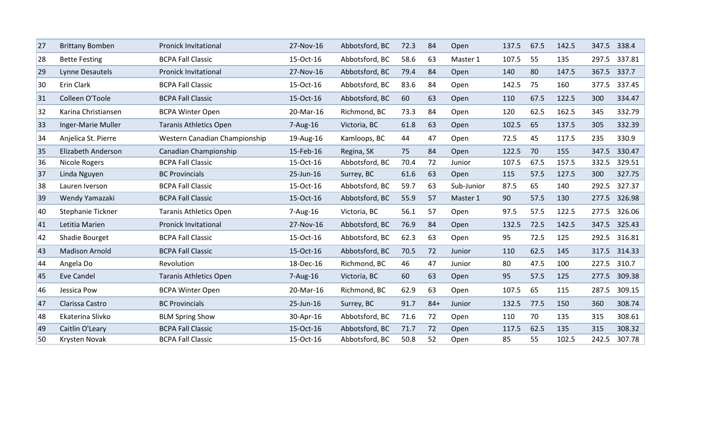| 27 | <b>Brittany Bomben</b> | <b>Pronick Invitational</b>   | 27-Nov-16    | Abbotsford, BC | 72.3 | 84    | Open       | 137.5 | 67.5 | 142.5 | 347.5 | 338.4        |
|----|------------------------|-------------------------------|--------------|----------------|------|-------|------------|-------|------|-------|-------|--------------|
| 28 | <b>Bette Festing</b>   | <b>BCPA Fall Classic</b>      | 15-Oct-16    | Abbotsford, BC | 58.6 | 63    | Master 1   | 107.5 | 55   | 135   | 297.5 | 337.81       |
| 29 | Lynne Desautels        | <b>Pronick Invitational</b>   | 27-Nov-16    | Abbotsford, BC | 79.4 | 84    | Open       | 140   | 80   | 147.5 | 367.5 | 337.7        |
| 30 | Erin Clark             | <b>BCPA Fall Classic</b>      | 15-Oct-16    | Abbotsford, BC | 83.6 | 84    | Open       | 142.5 | 75   | 160   | 377.5 | 337.45       |
| 31 | Colleen O'Toole        | <b>BCPA Fall Classic</b>      | 15-Oct-16    | Abbotsford, BC | 60   | 63    | Open       | 110   | 67.5 | 122.5 | 300   | 334.47       |
| 32 | Karina Christiansen    | <b>BCPA Winter Open</b>       | 20-Mar-16    | Richmond, BC   | 73.3 | 84    | Open       | 120   | 62.5 | 162.5 | 345   | 332.79       |
| 33 | Inger-Marie Muller     | <b>Taranis Athletics Open</b> | 7-Aug-16     | Victoria, BC   | 61.8 | 63    | Open       | 102.5 | 65   | 137.5 | 305   | 332.39       |
| 34 | Anjelica St. Pierre    | Western Canadian Championship | 19-Aug-16    | Kamloops, BC   | 44   | 47    | Open       | 72.5  | 45   | 117.5 | 235   | 330.9        |
| 35 | Elizabeth Anderson     | Canadian Championship         | 15-Feb-16    | Regina, SK     | 75   | 84    | Open       | 122.5 | 70   | 155   | 347.5 | 330.47       |
| 36 | Nicole Rogers          | <b>BCPA Fall Classic</b>      | 15-Oct-16    | Abbotsford, BC | 70.4 | 72    | Junior     | 107.5 | 67.5 | 157.5 | 332.5 | 329.51       |
| 37 | Linda Nguyen           | <b>BC Provincials</b>         | 25-Jun-16    | Surrey, BC     | 61.6 | 63    | Open       | 115   | 57.5 | 127.5 | 300   | 327.75       |
| 38 | Lauren Iverson         | <b>BCPA Fall Classic</b>      | 15-Oct-16    | Abbotsford, BC | 59.7 | 63    | Sub-Junior | 87.5  | 65   | 140   | 292.5 | 327.37       |
| 39 | Wendy Yamazaki         | <b>BCPA Fall Classic</b>      | 15-Oct-16    | Abbotsford, BC | 55.9 | 57    | Master 1   | 90    | 57.5 | 130   | 277.5 | 326.98       |
| 40 | Stephanie Tickner      | <b>Taranis Athletics Open</b> | $7 - Aug-16$ | Victoria, BC   | 56.1 | 57    | Open       | 97.5  | 57.5 | 122.5 | 277.5 | 326.06       |
| 41 | Letitia Marien         | <b>Pronick Invitational</b>   | 27-Nov-16    | Abbotsford, BC | 76.9 | 84    | Open       | 132.5 | 72.5 | 142.5 | 347.5 | 325.43       |
| 42 | Shadie Bourget         | <b>BCPA Fall Classic</b>      | 15-Oct-16    | Abbotsford, BC | 62.3 | 63    | Open       | 95    | 72.5 | 125   |       | 292.5 316.81 |
| 43 | <b>Madison Arnold</b>  | <b>BCPA Fall Classic</b>      | 15-Oct-16    | Abbotsford, BC | 70.5 | 72    | Junior     | 110   | 62.5 | 145   |       | 317.5 314.33 |
| 44 | Angela Do              | Revolution                    | 18-Dec-16    | Richmond, BC   | 46   | 47    | Junior     | 80    | 47.5 | 100   | 227.5 | 310.7        |
| 45 | <b>Eve Candel</b>      | <b>Taranis Athletics Open</b> | $7 - Aug-16$ | Victoria, BC   | 60   | 63    | Open       | 95    | 57.5 | 125   | 277.5 | 309.38       |
| 46 | Jessica Pow            | <b>BCPA Winter Open</b>       | 20-Mar-16    | Richmond, BC   | 62.9 | 63    | Open       | 107.5 | 65   | 115   | 287.5 | 309.15       |
| 47 | Clarissa Castro        | <b>BC Provincials</b>         | 25-Jun-16    | Surrey, BC     | 91.7 | $84+$ | Junior     | 132.5 | 77.5 | 150   | 360   | 308.74       |
| 48 | Ekaterina Slivko       | <b>BLM Spring Show</b>        | 30-Apr-16    | Abbotsford, BC | 71.6 | 72    | Open       | 110   | 70   | 135   | 315   | 308.61       |
| 49 | Caitlin O'Leary        | <b>BCPA Fall Classic</b>      | 15-Oct-16    | Abbotsford, BC | 71.7 | 72    | Open       | 117.5 | 62.5 | 135   | 315   | 308.32       |
| 50 | Krysten Novak          | <b>BCPA Fall Classic</b>      | 15-Oct-16    | Abbotsford, BC | 50.8 | 52    | Open       | 85    | 55   | 102.5 | 242.5 | 307.78       |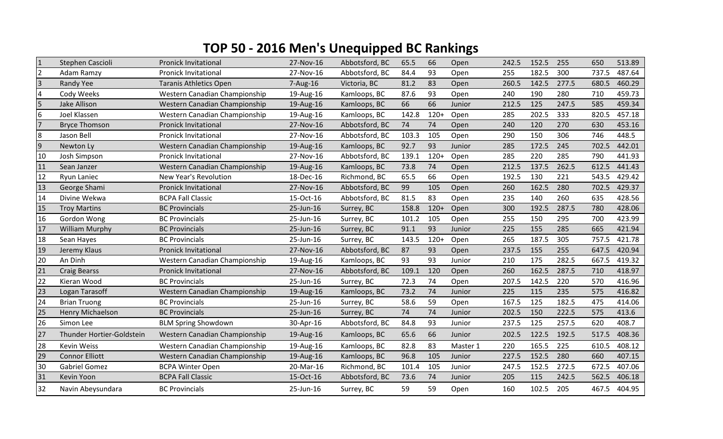## **TOP 50 - 2016 Men's Unequipped BC Rankings**

| $\overline{1}$ | Stephen Cascioli          | <b>Pronick Invitational</b>   | 27-Nov-16 | Abbotsford, BC | 65.5  | 66     | Open     | 242.5 | 152.5 | 255   | 650   | 513.89 |
|----------------|---------------------------|-------------------------------|-----------|----------------|-------|--------|----------|-------|-------|-------|-------|--------|
| $\overline{2}$ | Adam Ramzy                | <b>Pronick Invitational</b>   | 27-Nov-16 | Abbotsford, BC | 84.4  | 93     | Open     | 255   | 182.5 | 300   | 737.5 | 487.64 |
| $\overline{3}$ | <b>Randy Yee</b>          | <b>Taranis Athletics Open</b> | 7-Aug-16  | Victoria, BC   | 81.2  | 83     | Open     | 260.5 | 142.5 | 277.5 | 680.5 | 460.29 |
| $\overline{4}$ | Cody Weeks                | Western Canadian Championship | 19-Aug-16 | Kamloops, BC   | 87.6  | 93     | Open     | 240   | 190   | 280   | 710   | 459.73 |
| 5              | Jake Allison              | Western Canadian Championship | 19-Aug-16 | Kamloops, BC   | 66    | 66     | Junior   | 212.5 | 125   | 247.5 | 585   | 459.34 |
| 6              | Joel Klassen              | Western Canadian Championship | 19-Aug-16 | Kamloops, BC   | 142.8 | $120+$ | Open     | 285   | 202.5 | 333   | 820.5 | 457.18 |
| $\overline{7}$ | <b>Bryce Thomson</b>      | <b>Pronick Invitational</b>   | 27-Nov-16 | Abbotsford, BC | 74    | 74     | Open     | 240   | 120   | 270   | 630   | 453.16 |
| 8              | Jason Bell                | <b>Pronick Invitational</b>   | 27-Nov-16 | Abbotsford, BC | 103.3 | 105    | Open     | 290   | 150   | 306   | 746   | 448.5  |
| $\overline{9}$ | Newton Ly                 | Western Canadian Championship | 19-Aug-16 | Kamloops, BC   | 92.7  | 93     | Junior   | 285   | 172.5 | 245   | 702.5 | 442.01 |
| 10             | Josh Simpson              | <b>Pronick Invitational</b>   | 27-Nov-16 | Abbotsford, BC | 139.1 | $120+$ | Open     | 285   | 220   | 285   | 790   | 441.93 |
| 11             | Sean Janzer               | Western Canadian Championship | 19-Aug-16 | Kamloops, BC   | 73.8  | 74     | Open     | 212.5 | 137.5 | 262.5 | 612.5 | 441.43 |
| 12             | Ryun Laniec               | <b>New Year's Revolution</b>  | 18-Dec-16 | Richmond, BC   | 65.5  | 66     | Open     | 192.5 | 130   | 221   | 543.5 | 429.42 |
| 13             | George Shami              | <b>Pronick Invitational</b>   | 27-Nov-16 | Abbotsford, BC | 99    | 105    | Open     | 260   | 162.5 | 280   | 702.5 | 429.37 |
| 14             | Divine Wekwa              | <b>BCPA Fall Classic</b>      | 15-Oct-16 | Abbotsford, BC | 81.5  | 83     | Open     | 235   | 140   | 260   | 635   | 428.56 |
| 15             | <b>Troy Martins</b>       | <b>BC Provincials</b>         | 25-Jun-16 | Surrey, BC     | 158.8 | $120+$ | Open     | 300   | 192.5 | 287.5 | 780   | 428.06 |
| 16             | Gordon Wong               | <b>BC Provincials</b>         | 25-Jun-16 | Surrey, BC     | 101.2 | 105    | Open     | 255   | 150   | 295   | 700   | 423.99 |
| 17             | <b>William Murphy</b>     | <b>BC Provincials</b>         | 25-Jun-16 | Surrey, BC     | 91.1  | 93     | Junior   | 225   | 155   | 285   | 665   | 421.94 |
| 18             | Sean Hayes                | <b>BC Provincials</b>         | 25-Jun-16 | Surrey, BC     | 143.5 | $120+$ | Open     | 265   | 187.5 | 305   | 757.5 | 421.78 |
| 19             | Jeremy Klaus              | <b>Pronick Invitational</b>   | 27-Nov-16 | Abbotsford, BC | 87    | 93     | Open     | 237.5 | 155   | 255   | 647.5 | 420.94 |
| 20             | An Dinh                   | Western Canadian Championship | 19-Aug-16 | Kamloops, BC   | 93    | 93     | Junior   | 210   | 175   | 282.5 | 667.5 | 419.32 |
| 21             | <b>Craig Bearss</b>       | <b>Pronick Invitational</b>   | 27-Nov-16 | Abbotsford, BC | 109.1 | 120    | Open     | 260   | 162.5 | 287.5 | 710   | 418.97 |
| 22             | Kieran Wood               | <b>BC Provincials</b>         | 25-Jun-16 | Surrey, BC     | 72.3  | 74     | Open     | 207.5 | 142.5 | 220   | 570   | 416.96 |
| 23             | Logan Tarasoff            | Western Canadian Championship | 19-Aug-16 | Kamloops, BC   | 73.2  | 74     | Junior   | 225   | 115   | 235   | 575   | 416.82 |
| 24             | <b>Brian Truong</b>       | <b>BC Provincials</b>         | 25-Jun-16 | Surrey, BC     | 58.6  | 59     | Open     | 167.5 | 125   | 182.5 | 475   | 414.06 |
| 25             | Henry Michaelson          | <b>BC Provincials</b>         | 25-Jun-16 | Surrey, BC     | 74    | 74     | Junior   | 202.5 | 150   | 222.5 | 575   | 413.6  |
| 26             | Simon Lee                 | <b>BLM Spring Showdown</b>    | 30-Apr-16 | Abbotsford, BC | 84.8  | 93     | Junior   | 237.5 | 125   | 257.5 | 620   | 408.7  |
| 27             | Thunder Hortier-Goldstein | Western Canadian Championship | 19-Aug-16 | Kamloops, BC   | 65.6  | 66     | Junior   | 202.5 | 122.5 | 192.5 | 517.5 | 408.36 |
| 28             | Kevin Weiss               | Western Canadian Championship | 19-Aug-16 | Kamloops, BC   | 82.8  | 83     | Master 1 | 220   | 165.5 | 225   | 610.5 | 408.12 |
| 29             | <b>Connor Elliott</b>     | Western Canadian Championship | 19-Aug-16 | Kamloops, BC   | 96.8  | 105    | Junior   | 227.5 | 152.5 | 280   | 660   | 407.15 |
| 30             | <b>Gabriel Gomez</b>      | <b>BCPA Winter Open</b>       | 20-Mar-16 | Richmond, BC   | 101.4 | 105    | Junior   | 247.5 | 152.5 | 272.5 | 672.5 | 407.06 |
| 31             | Kevin Yoon                | <b>BCPA Fall Classic</b>      | 15-Oct-16 | Abbotsford, BC | 73.6  | 74     | Junior   | 205   | 115   | 242.5 | 562.5 | 406.18 |
| 32             | Navin Abeysundara         | <b>BC Provincials</b>         | 25-Jun-16 | Surrey, BC     | 59    | 59     | Open     | 160   | 102.5 | 205   | 467.5 | 404.95 |